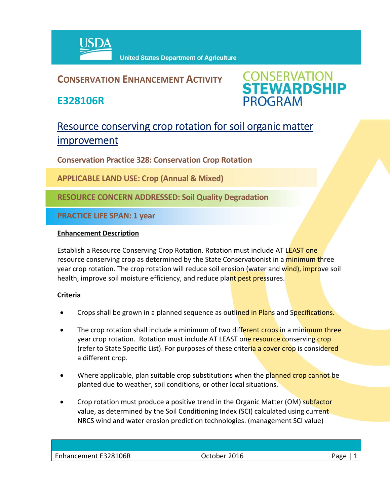

## **CONSERVATION ENHANCEMENT ACTIVITY**

**E328106R**



# Resource conserving crop rotation for soil organic matter improvement

**Conservation Practice 328: Conservation Crop Rotation**

**APPLICABLE LAND USE: Crop (Annual & Mixed)**

**RESOURCE CONCERN ADDRESSED: Soil Quality Degradation**

**PRACTICE LIFE SPAN: 1 year**

#### **Enhancement Description**

Establish a Resource Conserving Crop Rotation. Rotation must include AT LEAST one resource conserving crop as determined by the State Conservationist in a minimum three year crop rotation. The crop rotation will reduce soil erosion (water and wind), improve soil health, improve soil moisture efficiency, and reduce plant pest pressures.

### **Criteria**

- Crops shall be grown in a planned sequence as outlined in Plans and Specifications.
- The crop rotation shall include a minimum of two different crops in a minimum three year crop rotation. Rotation must include AT LEAST one resource conserving crop (refer to State Specific List). For purposes of these criteria a cover crop is considered a different crop.
- Where applicable, plan suitable crop substitutions when the planned crop cannot be planted due to weather, soil conditions, or other local situations.
- Crop rotation must produce a positive trend in the Organic Matter (OM) subfactor value, as determined by the Soil Conditioning Index (SCI) calculated using current NRCS wind and water erosion prediction technologies. (management SCI value)

| Enhancement E328106R | October 2016 | Aמבי |
|----------------------|--------------|------|